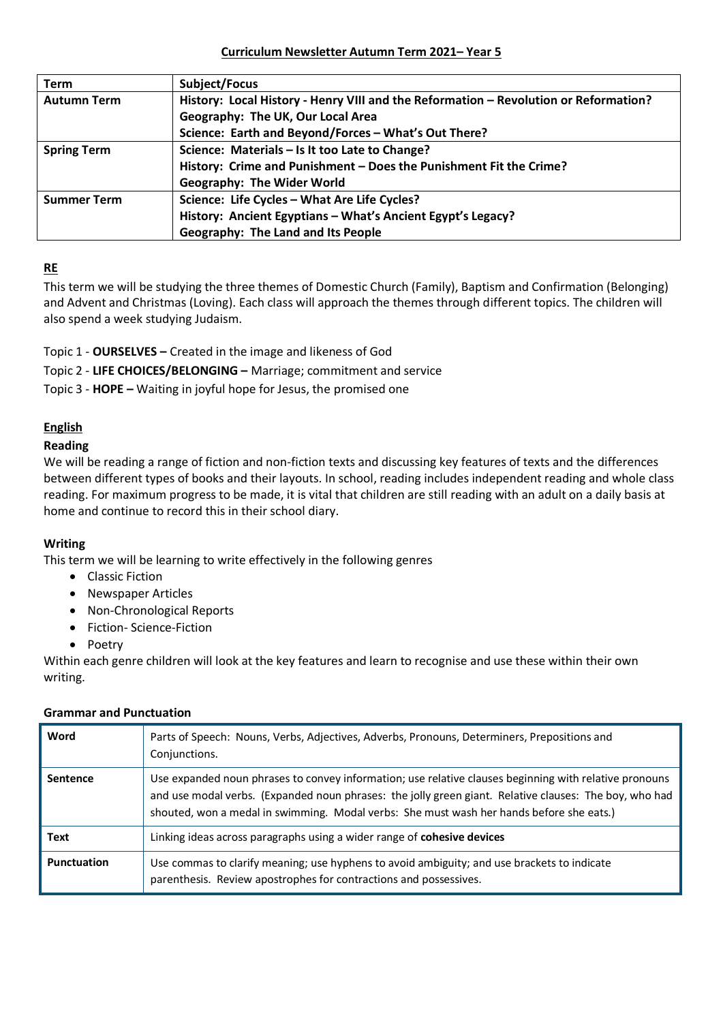#### **Curriculum Newsletter Autumn Term 2021– Year 5**

| <b>Term</b>        | <b>Subject/Focus</b>                                                                 |
|--------------------|--------------------------------------------------------------------------------------|
| <b>Autumn Term</b> | History: Local History - Henry VIII and the Reformation - Revolution or Reformation? |
|                    | Geography: The UK, Our Local Area                                                    |
|                    | Science: Earth and Beyond/Forces - What's Out There?                                 |
| <b>Spring Term</b> | Science: Materials - Is It too Late to Change?                                       |
|                    | History: Crime and Punishment - Does the Punishment Fit the Crime?                   |
|                    | <b>Geography: The Wider World</b>                                                    |
| <b>Summer Term</b> | Science: Life Cycles - What Are Life Cycles?                                         |
|                    | History: Ancient Egyptians - What's Ancient Egypt's Legacy?                          |
|                    | <b>Geography: The Land and Its People</b>                                            |

## **RE**

This term we will be studying the three themes of Domestic Church (Family), Baptism and Confirmation (Belonging) and Advent and Christmas (Loving). Each class will approach the themes through different topics. The children will also spend a week studying Judaism.

Topic 1 - **OURSELVES –** Created in the image and likeness of God

Topic 2 - **LIFE CHOICES/BELONGING –** Marriage; commitment and service

Topic 3 - **HOPE –** Waiting in joyful hope for Jesus, the promised one

## **English**

## **Reading**

We will be reading a range of fiction and non-fiction texts and discussing key features of texts and the differences between different types of books and their layouts. In school, reading includes independent reading and whole class reading. For maximum progress to be made, it is vital that children are still reading with an adult on a daily basis at home and continue to record this in their school diary.

## **Writing**

This term we will be learning to write effectively in the following genres

- Classic Fiction
- Newspaper Articles
- Non-Chronological Reports
- Fiction- Science-Fiction
- Poetry

Within each genre children will look at the key features and learn to recognise and use these within their own writing.

| Word               | Parts of Speech: Nouns, Verbs, Adjectives, Adverbs, Pronouns, Determiners, Prepositions and<br>Conjunctions.                                                                                                                                                                                                 |
|--------------------|--------------------------------------------------------------------------------------------------------------------------------------------------------------------------------------------------------------------------------------------------------------------------------------------------------------|
| <b>Sentence</b>    | Use expanded noun phrases to convey information; use relative clauses beginning with relative pronouns<br>and use modal verbs. (Expanded noun phrases: the jolly green giant. Relative clauses: The boy, who had<br>shouted, won a medal in swimming. Modal verbs: She must wash her hands before she eats.) |
| Text               | Linking ideas across paragraphs using a wider range of <b>cohesive devices</b>                                                                                                                                                                                                                               |
| <b>Punctuation</b> | Use commas to clarify meaning; use hyphens to avoid ambiguity; and use brackets to indicate<br>parenthesis. Review apostrophes for contractions and possessives.                                                                                                                                             |

#### **Grammar and Punctuation**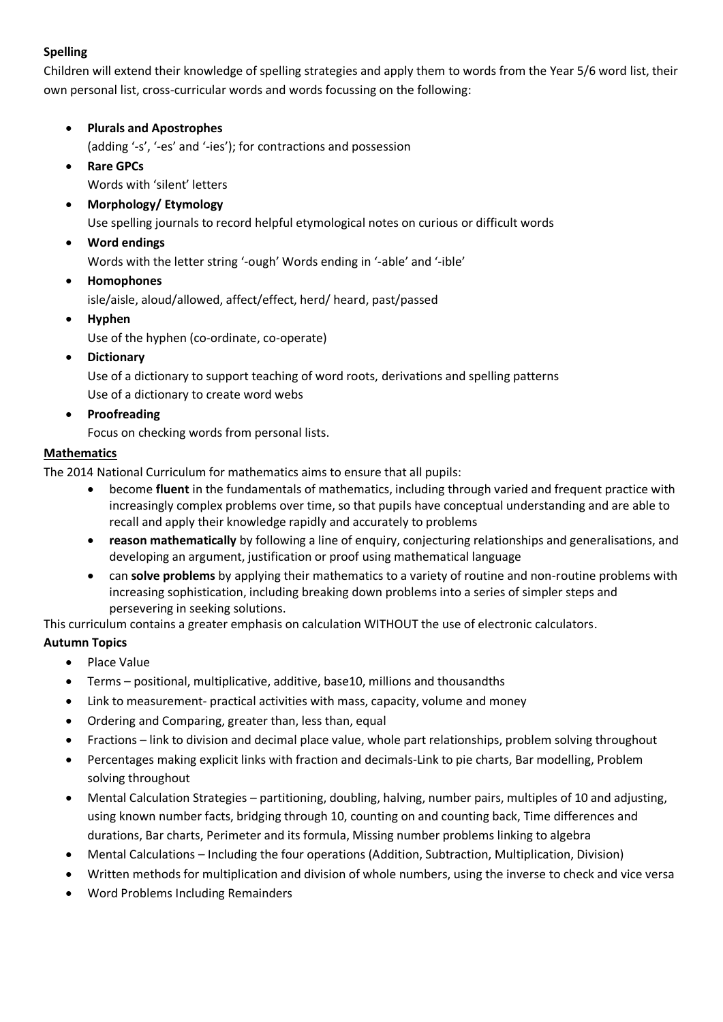## **Spelling**

Children will extend their knowledge of spelling strategies and apply them to words from the Year 5/6 word list, their own personal list, cross-curricular words and words focussing on the following:

- **Plurals and Apostrophes**
	- (adding '-s', '-es' and '-ies'); for contractions and possession
- **Rare GPCs**

Words with 'silent' letters

**Morphology/ Etymology**

Use spelling journals to record helpful etymological notes on curious or difficult words

**Word endings**

Words with the letter string '-ough' Words ending in '-able' and '-ible'

**Homophones**

isle/aisle, aloud/allowed, affect/effect, herd/ heard, past/passed

**Hyphen**

Use of the hyphen (co-ordinate, co-operate)

**Dictionary**

Use of a dictionary to support teaching of word roots, derivations and spelling patterns Use of a dictionary to create word webs

**Proofreading**

Focus on checking words from personal lists.

## **Mathematics**

The 2014 National Curriculum for mathematics aims to ensure that all pupils:

- become **fluent** in the fundamentals of mathematics, including through varied and frequent practice with increasingly complex problems over time, so that pupils have conceptual understanding and are able to recall and apply their knowledge rapidly and accurately to problems
- **reason mathematically** by following a line of enquiry, conjecturing relationships and generalisations, and developing an argument, justification or proof using mathematical language
- can **solve problems** by applying their mathematics to a variety of routine and non-routine problems with increasing sophistication, including breaking down problems into a series of simpler steps and persevering in seeking solutions.

This curriculum contains a greater emphasis on calculation WITHOUT the use of electronic calculators.

# **Autumn Topics**

- Place Value
- Terms positional, multiplicative, additive, base10, millions and thousandths
- Link to measurement- practical activities with mass, capacity, volume and money
- Ordering and Comparing, greater than, less than, equal
- Fractions link to division and decimal place value, whole part relationships, problem solving throughout
- Percentages making explicit links with fraction and decimals-Link to pie charts, Bar modelling, Problem solving throughout
- Mental Calculation Strategies partitioning, doubling, halving, number pairs, multiples of 10 and adjusting, using known number facts, bridging through 10, counting on and counting back, Time differences and durations, Bar charts, Perimeter and its formula, Missing number problems linking to algebra
- Mental Calculations Including the four operations (Addition, Subtraction, Multiplication, Division)
- Written methods for multiplication and division of whole numbers, using the inverse to check and vice versa
- Word Problems Including Remainders